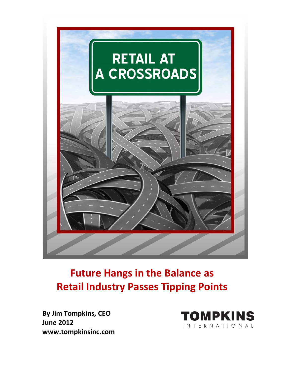

## **Future Hangs in the Balance as Retail Industry Passes Tipping Points**

**By Jim Tompkins, CEO June 2012 www.tompkinsinc.com**

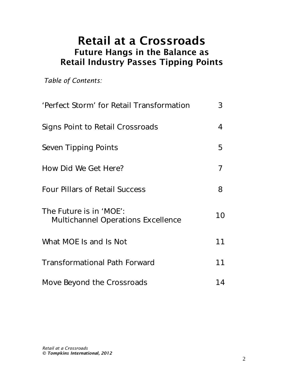## Retail at a Crossroads Future Hangs in the Balance as Retail Industry Passes Tipping Points

*Table of Contents:*

| 'Perfect Storm' for Retail Transformation                            | 3  |
|----------------------------------------------------------------------|----|
| Signs Point to Retail Crossroads                                     | 4  |
| Seven Tipping Points                                                 | 5  |
| How Did We Get Here?                                                 | 7  |
| <b>Four Pillars of Retail Success</b>                                | 8  |
| The Future is in 'MOE':<br><b>Multichannel Operations Excellence</b> | 10 |
| What MOE Is and Is Not                                               | 11 |
| <b>Transformational Path Forward</b>                                 | 11 |
| Move Beyond the Crossroads                                           | 14 |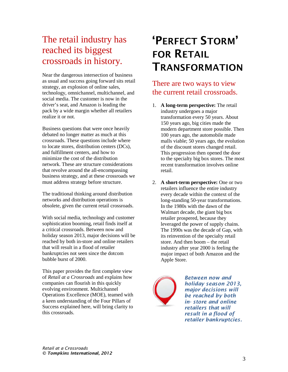## The retail industry has reached its biggest crossroads in history.

Near the dangerous intersection of business as usual and success going forward sits retail strategy, an explosion of online sales, technology, omnichannel, multichannel, and social media. The customer is now in the driver's seat, and Amazon is leading the pack by a wide margin whether all retailers realize it or not.

Business questions that were once heavily debated no longer matter as much at this crossroads. These questions include where to locate stores, distribution centers (DCs), and fulfillment centers, and how to minimize the cost of the distribution network. These are structure considerations that revolve around the all-encompassing business strategy, and at these crossroads we must address strategy before structure.

The traditional thinking around distribution networks and distribution operations is obsolete, given the current retail crossroads.

With social media, technology and customer sophistication booming, retail finds itself at a critical crossroads. Between now and holiday season 2013, major decisions will be reached by both in-store and online retailers that will result in a flood of retailer bankruptcies not seen since the dotcom bubble burst of 2000.

This paper provides the first complete view of *Retail at a Crossroads* and explains how companies can flourish in this quickly evolving environment. Multichannel Operations Excellence (MOE), teamed with a keen understanding of the Four Pillars of Success explained here, will bring clarity to this crossroads.

# 'PERFECT STORM' FOR RETAIL TRANSFORMATION

### There are two ways to view the current retail crossroads.

- 1. **A long-term perspective:** The retail industry undergoes a major transformation every 50 years. About 150 years ago, big cities made the modern department store possible. Then 100 years ago, the automobile made malls viable; 50 years ago, the evolution of the discount stores changed retail. This progression then opened the door to the specialty big box stores. The most recent transformation involves online retail.
- 2. **A short-term perspective:** One or two retailers influence the entire industry every decade within the context of the long-standing 50-year transformations. In the 1980s with the dawn of the Walmart decade, the giant big box retailer prospered, because they leveraged the power of supply chains. The 1990s was the decade of Gap, with its reinvention of the specialty retail store. And then boom – the retail industry after year 2000 is feeling the major impact of both Amazon and the Apple Store.



*Between now and holiday season 2013, major decisions will be reached by both in- store and online retailers that will result in a flood of retailer bankruptcies.*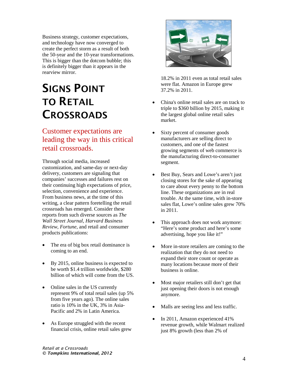Business strategy, customer expectations, and technology have now converged to create the perfect storm as a result of both the 50-year and the 10-year transformations. This is bigger than the dotcom bubble; this is definitely bigger than it appears in the rearview mirror.

# SIGNS POINT TO RETAIL **CROSSROADS**

### Customer expectations are leading the way in this critical retail crossroads.

Through social media, increased customization, and same-day or next-day delivery, customers are signaling that companies' successes and failures rest on their continuing high expectations of price, selection, convenience and experience. From business news, at the time of this writing, a clear pattern foretelling the retail crossroads has emerged. Consider these reports from such diverse sources as *The Wall Street Journal, Harvard Business Review, Fortune,* and retail and consumer products publications:

- The era of big box retail dominance is coming to an end.
- By 2015, online business is expected to be worth \$1.4 trillion worldwide, \$280 billion of which will come from the US.
- Online sales in the US currently represent 9% of total retail sales (up 5% from five years ago). The online sales ratio is 10% in the UK, 3% in Asia-Pacific and 2% in Latin America.
- As Europe struggled with the recent financial crisis, online retail sales grew



18.2% in 2011 even as total retail sales were flat. Amazon in Europe grew 37.2% in 2011.

- China's online retail sales are on track to triple to \$360 billion by 2015, making it the largest global online retail sales market.
- Sixty percent of consumer goods manufacturers are selling direct to customers, and one of the fastest growing segments of web commerce is the manufacturing direct-to-consumer segment.
- Best Buy, Sears and Lowe's aren't just closing stores for the sake of appearing to care about every penny to the bottom line. These organizations are in real trouble. At the same time, with in-store sales flat, Lowe's online sales grew 70% in 2011.
- This approach does not work anymore: "Here's some product and here's some advertising, hope you like it!"
- More in-store retailers are coming to the realization that they do not need to expand their store count or operate as many locations because more of their business is online.
- Most major retailers still don't get that just opening their doors is not enough anymore.
- Malls are seeing less and less traffic.
- In 2011, Amazon experienced 41% revenue growth, while Walmart realized just 8% growth (less than 2% of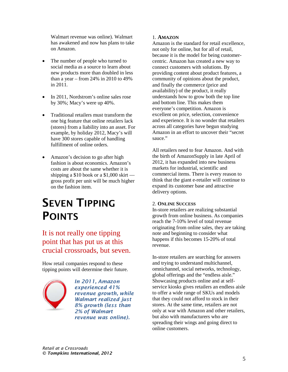Walmart revenue was online). Walmart has awakened and now has plans to take on Amazon.

- The number of people who turned to social media as a source to learn about new products more than doubled in less than a year – from 24% in 2010 to 49% in 2011.
- In 2011, Nordstrom's online sales rose by 30%; Macy's were up 40%.
- Traditional retailers must transform the one big feature that online retailers lack (stores) from a liability into an asset. For example, by holiday 2012, Macy's will have 300 stores capable of handling fulfillment of online orders.
- Amazon's decision to go after high fashion is about economics. Amazon's costs are about the same whether it is shipping a \$10 book or a \$1,000 skirt gross profit per unit will be much higher on the fashion item.

## SEVEN TIPPING POINTS

### It is not really one tipping point that has put us at this crucial crossroads, but seven.

How retail companies respond to these tipping points will determine their future.



*In 2011, Amazon experienced 41% revenue growth, while Walmart realized just 8% growth (less than 2% of Walmart revenue was online).*

#### 1. **AMAZON**

Amazon is the standard for retail excellence, not only for online, but for all of retail, because it is the model for being customercentric. Amazon has created a new way to connect customers with solutions. By providing content about product features, a community of opinions about the product, and finally the commerce (price and availability) of the product, it really understands how to grow both the top line and bottom line. This makes them everyone's competition. Amazon is excellent on price, selection, convenience and experience. It is no wonder that retailers across all categories have begun studying Amazon in an effort to uncover their "secret sauce."

All retailers need to fear Amazon. And with the birth of AmazonSupply in late April of 2012, it has expanded into new business markets for industrial, scientific and commercial items. There is every reason to think that the giant e-retailer will continue to expand its customer base and attractive delivery options.

#### 2. **ONLINE SUCCESS**

In-store retailers are realizing substantial growth from online business. As companies reach the 7-10% level of total revenue originating from online sales, they are taking note and beginning to consider what happens if this becomes 15-20% of total revenue.

In-store retailers are searching for answers and trying to understand multichannel, omnichannel, social networks, technology, global offerings and the "endless aisle." Showcasing products online and at selfservice kiosks gives retailers an endless aisle to offer a wide range of SKUs and models that they could not afford to stock in their stores. At the same time, retailers are not only at war with Amazon and other retailers, but also with manufacturers who are spreading their wings and going direct to online customers.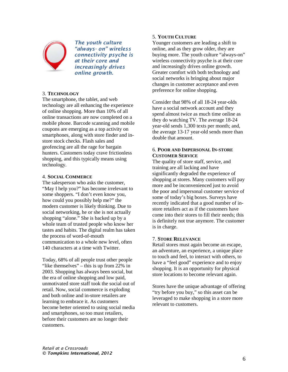

*The youth culture "always- on" wireless connectivity psyche is at their core and increasingly drives online growth.*

#### 3. **TECHNOLOGY**

The smartphone, the tablet, and web technology are all enhancing the experience of online shopping. More than 10% of all online transactions are now completed on a mobile phone. Barcode scanning and mobile coupons are emerging as a top activity on smartphones, along with store finder and instore stock checks. Flash sales and geofencing are all the rage for bargain hunters. Customers today crave frictionless shopping, and this typically means using technology.

#### 4. **SOCIAL COMMERCE**

The salesperson who asks the customer, "May I help you?" has become irrelevant to some shoppers. "I don't even know you, how could you possibly help me?" the modern customer is likely thinking. Due to social networking, he or she is not actually shopping "alone." She is backed up by a whole team of trusted people who know her tastes and habits. The digital realm has taken the process of word-of-mouth communication to a whole new level, often 140 characters at a time with Twitter.

Today, 68% of all people trust other people "like themselves" – this is up from 22% in 2003. Shopping has always been social, but the era of online shopping and low paid, unmotivated store staff took the social out of retail. Now, social commerce is exploding and both online and in-store retailers are learning to embrace it. As customers become better oriented to using social media and smartphones, so too must retailers, before their customers are no longer their customers.

#### 5. **YOUTH CULTURE**

Younger customers are leading a shift to online, and as they grow older, they are buying more. The youth culture "always-on" wireless connectivity psyche is at their core and increasingly drives online growth. Greater comfort with both technology and social networks is bringing about major changes in customer acceptance and even preference for online shopping.

Consider that 98% of all 18-24 year-olds have a social network account and they spend almost twice as much time online as they do watching TV. The average 18-24 year-old sends 1,300 texts per month; and, the average 13-17 year-old sends more than double that amount.

#### 6. **POOR AND IMPERSONAL IN-STORE CUSTOMER SERVICE**

The quality of store staff, service, and training are all lacking and have significantly degraded the experience of shopping at stores. Many customers will pay more and be inconvenienced just to avoid the poor and impersonal customer service of some of today's big boxes. Surveys have recently indicated that a good number of instore retailers act as if the customers have come into their stores to fill their needs; this is definitely not true anymore. The customer is in charge.

#### 7. **STORE RELEVANCE**

Retail stores must again become an escape, an adventure, an experience, a unique place to touch and feel, to interact with others, to have a "feel good" experience and to enjoy shopping. It is an opportunity for physical store locations to become relevant again.

Stores have the unique advantage of offering "try before you buy," so this asset can be leveraged to make shopping in a store more relevant to customers.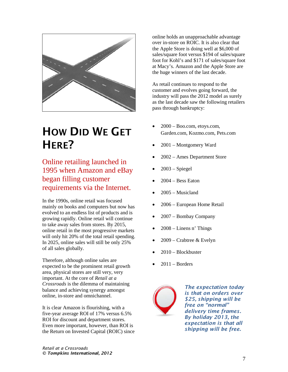

## HOW DID WE GET H<sub>FRF?</sub>

Online retailing launched in 1995 when Amazon and eBay began filling customer requirements via the Internet.

In the 1990s, online retail was focused mainly on books and computers but now has evolved to an endless list of products and is growing rapidly. Online retail will continue to take away sales from stores. By 2015, online retail in the most progressive markets will only hit 20% of the total retail spending. In 2025, online sales will still be only 25% of all sales globally.

Therefore, although online sales are expected to be the prominent retail growth area, physical stores are still very, very important. At the core of *Retail at a Crossroads* is the dilemma of maintaining balance and achieving synergy amongst online, in-store and omnichannel.

It is clear Amazon is flourishing, with a five-year average ROI of 17% versus 6.5% ROI for discount and department stores. Even more important, however, than ROI is the Return on Invested Capital (ROIC) since online holds an unapproachable advantage over in-store on ROIC. It is also clear that the Apple Store is doing well at \$6,000 of sales/square foot versus \$194 of sales/square foot for Kohl's and \$171 of sales/square foot at Macy's. Amazon and the Apple Store are the huge winners of the last decade.

As retail continues to respond to the customer and evolves going forward, the industry will pass the 2012 model as surely as the last decade saw the following retailers pass through bankruptcy:

- 2000 Boo.com, etoys.com, Garden.com, Kozmo.com, Pets.com
- 2001 Montgomery Ward
- 2002 Ames Department Store
- $2003 Spiegel$
- $2004 Bess$  Eaton
- $2005 -$ Musicland
- 2006 European Home Retail
- 2007 Bombay Company
- $2008 -$ Linens n' Things
- 2009 Crabtree & Evelyn
- 2010 Blockbuster
- $2011 -$ Borders



*The expectation today is that on orders over \$25, shipping will be free on "normal" delivery time frames. By holiday 2013, the expectation is that all shipping will be free.*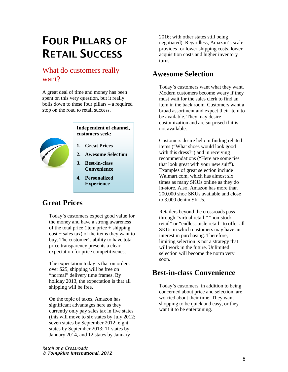## FOUR PILLARS OF RETAIL SUCCESS

### What do customers really want?

A great deal of time and money has been spent on this very question, but it really boils down to these four pillars – a required stop on the road to retail success.



#### **Independent of channel, customers seek:**

- **1. Great Prices**
- **2. Awesome Selection**
- **3. Best-in-class Convenience**
- **4. Personalized Experience**

## **Great Prices**

Today's customers expect good value for the money and have a strong awareness of the total price (item price  $+$  shipping  $cost + sales tax)$  of the items they want to buy. The customer's ability to have total price transparency presents a clear expectation for price competitiveness.

The expectation today is that on orders over \$25, shipping will be free on "normal" delivery time frames. By holiday 2013, the expectation is that all shipping will be free.

On the topic of taxes, Amazon has significant advantages here as they currently only pay sales tax in five states (this will move to six states by July 2012; seven states by September 2012; eight states by September 2013; 11 states by January 2014, and 12 states by January

2016; with other states still being negotiated). Regardless, Amazon's scale provides for lower shipping costs, lower acquisition costs and higher inventory turns.

### **Awesome Selection**

Today's customers want what they want. Modern customers become weary if they must wait for the sales clerk to find an item in the back room. Customers want a broad assortment and expect their item to be available. They may desire customization and are surprised if it is not available.

Customers desire help in finding related items ("What shoes would look good with this dress?") and in receiving recommendations ("Here are some ties that look great with your new suit"). Examples of great selection include Walmart.com, which has almost six times as many SKUs online as they do in-store. Also, Amazon has more than 200,000 shoe SKUs available and close to 3,000 denim SKUs.

Retailers beyond the crossroads pass through "virtual retail," "non-stock retail" or "endless aisle retail" to offer all SKUs in which customers may have an interest in purchasing. Therefore, limiting selection is not a strategy that will work in the future. Unlimited selection will become the norm very soon.

## **Best-in-class Convenience**

Today's customers, in addition to being concerned about price and selection, are worried about their time. They want shopping to be quick and easy, or they want it to be entertaining.

*Retail at a Crossroads © Tompkins International, 2012*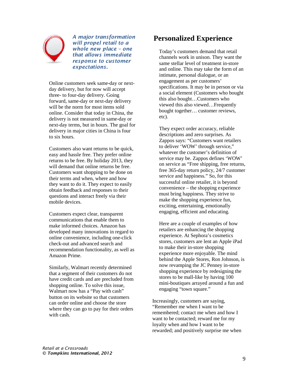

*A major transformation will propel retail to a whole new place – one that allows immediate response to customer expectations.*

Online customers seek same-day or nextday delivery, but for now will accept three- to four-day delivery. Going forward, same-day or next-day delivery will be the norm for most items sold online. Consider that today in China, the delivery is not measured in same-day or next-day terms, but in hours. The goal for delivery in major cities in China is four to six hours.

Customers also want returns to be quick, easy and hassle free. They prefer online returns to be free. By holiday 2013, they will demand that online returns be free. Customers want shopping to be done on their terms and when, where and how they want to do it. They expect to easily obtain feedback and responses to their questions and interact freely via their mobile devices.

Customers expect clear, transparent communications that enable them to make informed choices. Amazon has developed many innovations in regard to online convenience, including one-click check-out and advanced search and recommendation functionality, as well as Amazon Prime.

Similarly, Walmart recently determined that a segment of their customers do not have credit cards and are precluded from shopping online. To solve this issue, Walmart now has a "Pay with cash" button on its website so that customers can order online and choose the store where they can go to pay for their orders with cash.

### **Personalized Experience**

Today's customers demand that retail channels work in unison. They want the same stellar level of treatment in-store and online. This may take the form of an intimate, personal dialogue, or an engagement as per customers' specifications. It may be in person or via a social element (Customers who bought this also bought…Customers who viewed this also viewed…Frequently bought together… customer reviews, etc).

They expect order accuracy, reliable descriptions and zero surprises. As Zappos says: "Customers want retailers to deliver 'WOW' through service," whatever the customer's definition of service may be. Zappos defines 'WOW' on service as "Free shipping, free returns, free 365-day return policy, 24/7 customer service and happiness." So, for this successful online retailer, it is beyond convenience – the shopping experience must bring happiness. They strive to make the shopping experience fun, exciting, entertaining, emotionally engaging, efficient and educating.

Here are a couple of examples of how retailers are enhancing the shopping experience. At Sephora's cosmetics stores, customers are lent an Apple iPad to make their in-store shopping experience more enjoyable. The mind behind the Apple Stores, Ron Johnson, is now revamping the JC Penney in-store shopping experience by redesigning the stores to be mall-like by having 100 mini-boutiques arrayed around a fun and engaging "town square."

Increasingly, customers are saying, "Remember me when I want to be remembered; contact me when and how I want to be contacted; reward me for my loyalty when and how I want to be rewarded; and positively surprise me when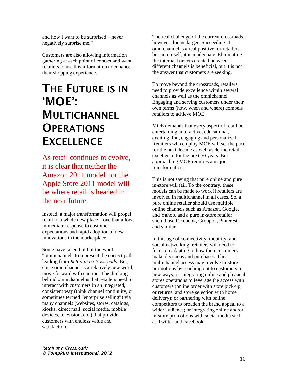and how I want to be surprised − never negatively surprise me."

Customers are also allowing information gathering at each point of contact and want retailers to use this information to enhance their shopping experience.

## THE FUTURE IS IN 'MOE': **MULTICHANNEL OPERATIONS EXCELLENCE**

As retail continues to evolve, it is clear that neither the Amazon 2011 model nor the Apple Store 2011 model will be where retail is headed in the near future.

Instead, a major transformation will propel retail to a whole new place – one that allows immediate response to customer expectations and rapid adoption of new innovations in the marketplace.

Some have taken hold of the word "omnichannel" to represent the correct path leading from *Retail at a Crossroads*. But, since omnichannel is a relatively new word, move forward with caution. The thinking behind omnichannel is that retailers need to interact with customers in an integrated, consistent way (think channel continuity, or sometimes termed "enterprise selling") via many channels (websites, stores, catalogs, kiosks, direct mail, social media, mobile devices, television, etc.) that provide customers with endless value and satisfaction.

The real challenge of the current crossroads, however, looms larger. Succeeding at omnichannel is a real positive for retailers, but unto itself, it is inadequate. Eliminating the internal barriers created between different channels is beneficial, but it is not the answer that customers are seeking.

To move beyond the crossroads, retailers need to provide excellence within several channels as well as the omnichannel. Engaging and serving customers under their own terms (how, when and where) compels retailers to achieve MOE.

MOE demands that every aspect of retail be entertaining, interactive, educational, exciting, fun, engaging and personalized. Retailers who employ MOE will set the pace for the next decade as well as define retail excellence for the next 50 years. But approaching MOE requires a major transformation.

This is not saying that pure online and pure in-store will fail. To the contrary, these models can be made to work if retailers are involved in multichannel in all cases. So, a pure online retailer should use multiple online channels such as Amazon, Google, and Yahoo, and a pure in-store retailer should use Facebook, Groupon, Pinterest, and similar.

In this age of connectivity, mobility, and social networking, retailers will need to focus on adapting to how their customers make decisions and purchases. Thus, multichannel access may involve in-store promotions by reaching out to customers in new ways; or integrating online and physical stores operations to leverage the access with customers (online order with store pick-up, or returns, and store selection with home delivery); or partnering with online competitors to broaden the brand appeal to a wider audience; or integrating online and/or in-store promotions with social media such as Twitter and Facebook.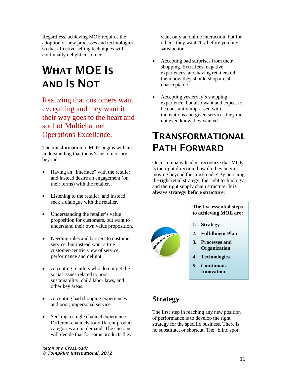Regardless, achieving MOE requires the adoption of new processes and technologies so that effective selling techniques will continually delight customers.

# WHAT MOE IS AND IS NOT

Realizing that customers want everything and they want it their way goes to the heart and soul of Multichannel Operations Excellence.

The transformation to MOE begins with an understanding that today's customers are beyond:

- Having an "interface" with the retailer, and instead desire an engagement (on their terms) with the retailer.
- Listening to the retailer, and instead seek a dialogue with the retailer.
- Understanding the retailer's value proposition for customers, but want to understand their own value proposition.
- Needing rules and barriers to customer service, but instead want a true customer-centric view of service, performance and delight.
- Accepting retailers who do not get the social issues related to poor sustainability, child labor laws, and other key areas.
- Accepting bad shopping experiences and poor, impersonal service.
- Seeking a single channel experience. Different channels for different product categories are in demand. The customer will decide that for some products they

want only an online interaction, but for others, they want "try before you buy" satisfaction.

- Accepting bad surprises from their shopping. Extra fees, negative experiences, and having retailers tell them how they should shop are all unacceptable.
- Accepting yesterday's shopping experience, but also want and expect to be constantly impressed with innovations and given services they did not even know they wanted.

## TRANSFORMATIONAL PATH FORWARD

Once company leaders recognize that MOE is the right direction, how do they begin moving beyond the crossroads? By pursuing the right retail strategy, the right technology, and the right supply chain structure. **It is always strategy before structure.**



**The five essential steps to achieving MOE are:**

- **1. Strategy**
- **2. Fulfillment Plan**
- **3. Processes and Organization**
- **4. Technologies**
- **5. Continuous Innovation**

## **Strategy**

The first step in reaching any new position of performance is to develop the right strategy for the specific business. There is no substitute, or shortcut. The "blind spot"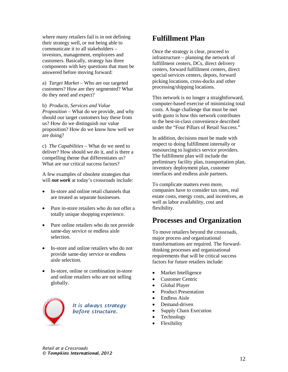where many retailers fail is in not defining their strategy well, or not being able to communicate it to all stakeholders – investors, management, employees and customers. Basically, strategy has three components with key questions that must be answered before moving forward:

a) *Target Market* – Who are our targeted customers? How are they segmented? What do they need and expect?

b) *Products, Services and Value Proposition* – What do we provide, and why should our target customers buy these from us? How do we distinguish our value proposition? How do we know how well we are doing?

c) *The Capabilities* – What do we need to deliver? How should we do it, and is there a compelling theme that differentiates us? What are our critical success factors?

A few examples of obsolete strategies that will *not work* at today's crossroads include:

- In-store and online retail channels that are treated as separate businesses.
- Pure in-store retailers who do not offer a totally unique shopping experience.
- Pure online retailers who do not provide same-day service or endless aisle selection.
- In-store and online retailers who do not provide same-day service or endless aisle selection.
- In-store, online or combination in-store and online retailers who are not selling globally.



*It is always strategy before structure.*

## **Fulfillment Plan**

Once the strategy is clear, proceed to infrastructure – planning the network of fulfillment centers, DCs, direct delivery centers, forward fulfillment centers, direct special services centers, depots, forward picking locations, cross-docks and other processing/shipping locations.

This network is no longer a straightforward, computer-based exercise of minimizing total costs. A huge challenge that must be met with gusto is how this network contributes to the best-in-class convenience described under the "Four Pillars of Retail Success."

In addition, decisions must be made with respect to doing fulfillment internally or outsourcing to logistics service providers. The fulfillment plan will include the preliminary facility plan, transportation plan, inventory deployment plan, customer interfaces and endless aisle partners.

To complicate matters even more, companies have to consider tax rates, real estate costs, energy costs, and incentives, as well as labor availability, cost and flexibility.

### **Processes and Organization**

To move retailers beyond the crossroads, major process and organizational transformations are required. The forwardthinking processes and organizational requirements that will be critical success factors for future retailers include:

- Market Intelligence
- Customer Centric
- Global Player
- Product Presentation
- Endless Aisle
- Demand-driven
- Supply Chain Execution
- Technology
- Flexibility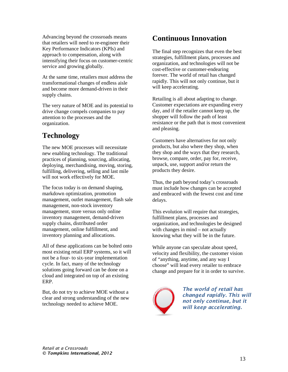Advancing beyond the crossroads means that retailers will need to re-engineer their Key Performance Indicators (KPIs) and approach to compensation, along with intensifying their focus on customer-centric service and growing globally.

At the same time, retailers must address the transformational changes of endless aisle and become more demand-driven in their supply chains.

The very nature of MOE and its potential to drive change compels companies to pay attention to the processes and the organization.

## **Technology**

The new MOE processes will necessitate new enabling technology. The traditional practices of planning, sourcing, allocating, deploying, merchandising, moving, storing, fulfilling, delivering, selling and last mile will not work effectively for MOE.

The focus today is on demand shaping, markdown optimization, promotion management, outlet management, flash sale management, non-stock inventory management, store versus only online inventory management, demand-driven supply chains, distributed order management, online fulfillment, and inventory planning and allocations.

All of these applications can be bolted onto most existing retail ERP systems, so it will not be a four- to six-year implementation cycle. In fact, many of the technology solutions going forward can be done on a cloud and integrated on top of an existing ERP.

But, do not try to achieve MOE without a clear and strong understanding of the new technology needed to achieve MOE.

## **Continuous Innovation**

The final step recognizes that even the best strategies, fulfillment plans, processes and organization, and technologies will not be cost-effective or customer-endearing forever. The world of retail has changed rapidly. This will not only continue, but it will keep accelerating.

Retailing is all about adapting to change. Customer expectations are expanding every day, and if the retailer cannot keep up, the shopper will follow the path of least resistance or the path that is most convenient and pleasing.

Customers have alternatives for not only products, but also where they shop, when they shop and the ways that they research, browse, compare, order, pay for, receive, unpack, use, support and/or return the products they desire.

Thus, the path beyond today's crossroads must include how changes can be accepted and embraced with the fewest cost and time delays.

This evolution will require that strategies, fulfillment plans, processes and organization, and technologies be designed with changes in mind – not actually knowing what they will be in the future.

While anyone can speculate about speed, velocity and flexibility, the customer vision of "anything, anytime, and any way I choose" will lead every retailer to embrace change and prepare for it in order to survive.



*The world of retail has changed rapidly. This will not only continue, but it will keep accelerating.*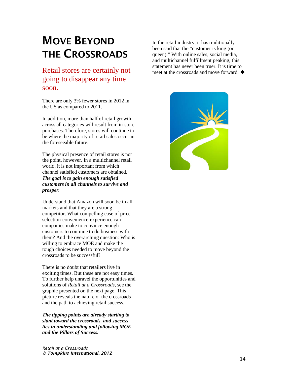## MOVE BEYOND THE CROSSROADS

### Retail stores are certainly not going to disappear any time soon.

There are only 3% fewer stores in 2012 in the US as compared to 2011.

In addition, more than half of retail growth across all categories will result from in-store purchases. Therefore, stores will continue to be where the majority of retail sales occur in the foreseeable future.

The physical presence of retail stores is not the point, however. In a multichannel retail world, it is not important from which channel satisfied customers are obtained. *The goal is to gain enough satisfied customers in all channels to survive and prosper.*

Understand that Amazon will soon be in all markets and that they are a strong competitor. What compelling case of priceselection-convenience-experience can companies make to convince enough customers to continue to do business with them? And the overarching question: Who is willing to embrace MOE and make the tough choices needed to move beyond the crossroads to be successful?

There is no doubt that retailers live in exciting times. But these are not easy times. To further help unravel the opportunities and solutions of *Retail at a Crossroads*, see the graphic presented on the next page. This picture reveals the nature of the crossroads and the path to achieving retail success.

*The tipping points are already starting to slant toward the crossroads, and success lies in understanding and following MOE and the Pillars of Success.* 

In the retail industry, it has traditionally been said that the "customer is king (or queen)." With online sales, social media, and multichannel fulfillment peaking, this statement has never been truer. It is time to meet at the crossroads and move forward.  $\blacklozenge$